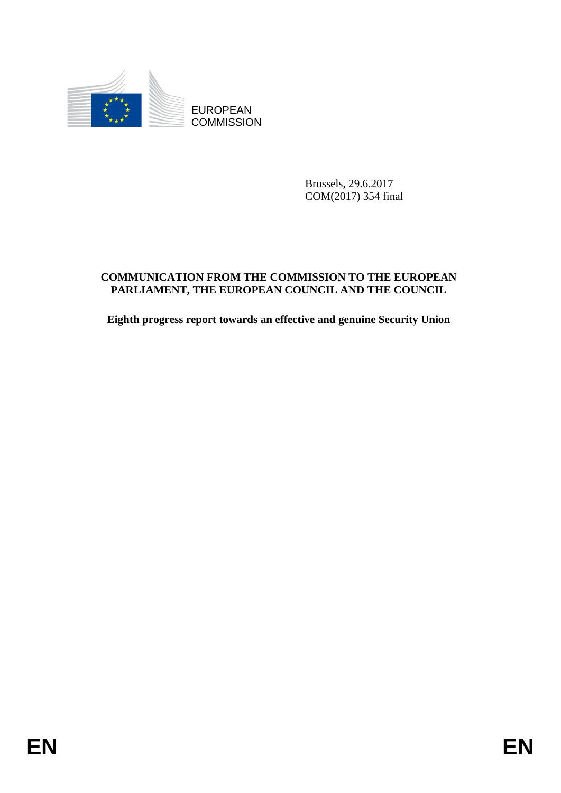

**COMMISSION** 

Brussels, 29.6.2017 COM(2017) 354 final

# EUROPEAN<br>
EUROPEAN<br>
ENGANGISION<br>
ENGANGISION<br>
ENGANGISION<br>
ENGANGISION<br>
ENGANGISION<br>
ENGANGISION<br>
ENGANGISION<br>
ENGANGISION<br>
ENGANGISION<br>
ENGANGISION<br>
ENGANGISION<br>
ENGANGISION<br>
ENGANGISION<br>
ENGANGISION<br>
ENGANGISION<br>
ENGANGI **COMMUNICATION FROM THE COMMISSION TO THE EUROPEAN PARLIAMENT, THE EUROPEAN COUNCIL AND THE COUNCIL**

**Eighth progress report towards an effective and genuine Security Union**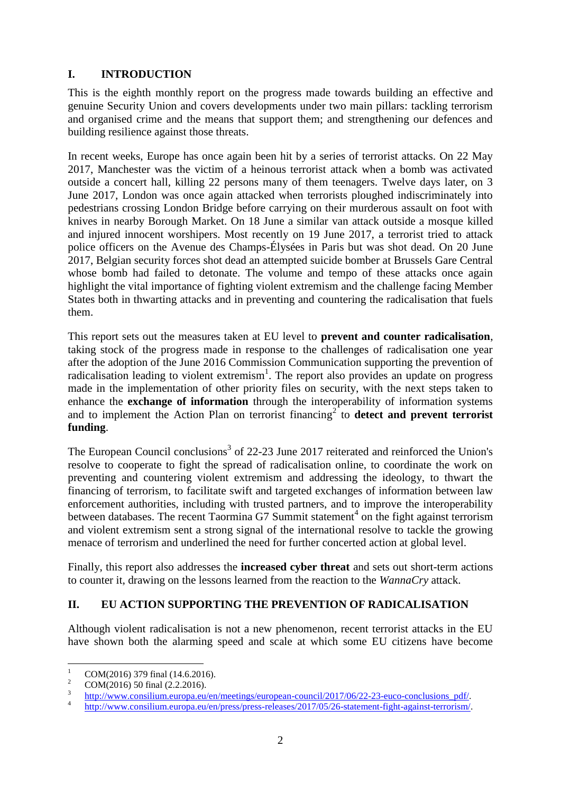## **I. INTRODUCTION**

This is the eighth monthly report on the progress made towards building an effective and genuine Security Union and covers developments under two main pillars: tackling terrorism and organised crime and the means that support them; and strengthening our defences and building resilience against those threats.

In recent weeks, Europe has once again been hit by a series of terrorist attacks. On 22 May 2017, Manchester was the victim of a heinous terrorist attack when a bomb was activated outside a concert hall, killing 22 persons many of them teenagers. Twelve days later, on 3 June 2017, London was once again attacked when terrorists ploughed indiscriminately into pedestrians crossing London Bridge before carrying on their murderous assault on foot with knives in nearby Borough Market. On 18 June a similar van attack outside a mosque killed and injured innocent worshipers. Most recently on 19 June 2017, a terrorist tried to attack police officers on the Avenue des Champs-Élysées in Paris but was shot dead. On 20 June 2017, Belgian security forces shot dead an attempted suicide bomber at Brussels Gare Central whose bomb had failed to detonate. The volume and tempo of these attacks once again highlight the vital importance of fighting violent extremism and the challenge facing Member States both in thwarting attacks and in preventing and countering the radicalisation that fuels them.

This report sets out the measures taken at EU level to **prevent and counter radicalisation**, taking stock of the progress made in response to the challenges of radicalisation one year after the adoption of the June 2016 Commission Communication supporting the prevention of radicalisation leading to violent extremism<sup>1</sup>. The report also provides an update on progress made in the implementation of other priority files on security, with the next steps taken to enhance the **exchange of information** through the interoperability of information systems and to implement the Action Plan on terrorist financing<sup>2</sup> to **detect and prevent terrorist funding**.

The European Council conclusions<sup>3</sup> of 22-23 June 2017 reiterated and reinforced the Union's resolve to cooperate to fight the spread of radicalisation online, to coordinate the work on preventing and countering violent extremism and addressing the ideology, to thwart the financing of terrorism, to facilitate swift and targeted exchanges of information between law enforcement authorities, including with trusted partners, and to improve the interoperability between databases. The recent Taormina G7 Summit statement<sup>4</sup> on the fight against terrorism and violent extremism sent a strong signal of the international resolve to tackle the growing menace of terrorism and underlined the need for further concerted action at global level.

Finally, this report also addresses the **increased cyber threat** and sets out short-term actions to counter it, drawing on the lessons learned from the reaction to the *WannaCry* attack.

# **II. EU ACTION SUPPORTING THE PREVENTION OF RADICALISATION**

Although violent radicalisation is not a new phenomenon, recent terrorist attacks in the EU have shown both the alarming speed and scale at which some EU citizens have become

 $\overline{1}$ <sup>1</sup> COM(2016) 379 final (14.6.2016).

<sup>2</sup> COM(2016) 50 final (2.2.2016).

<sup>3</sup> [http://www.consilium.europa.eu/en/meetings/european-council/2017/06/22-23-euco-conclusions\\_pdf/.](http://www.consilium.europa.eu/en/meetings/european-council/2017/06/22-23-euco-conclusions_pdf/)

<sup>4</sup> [http://www.consilium.europa.eu/en/press/press-releases/2017/05/26-statement-fight-against-terrorism/.](http://www.consilium.europa.eu/en/press/press-releases/2017/05/26-statement-fight-against-terrorism/)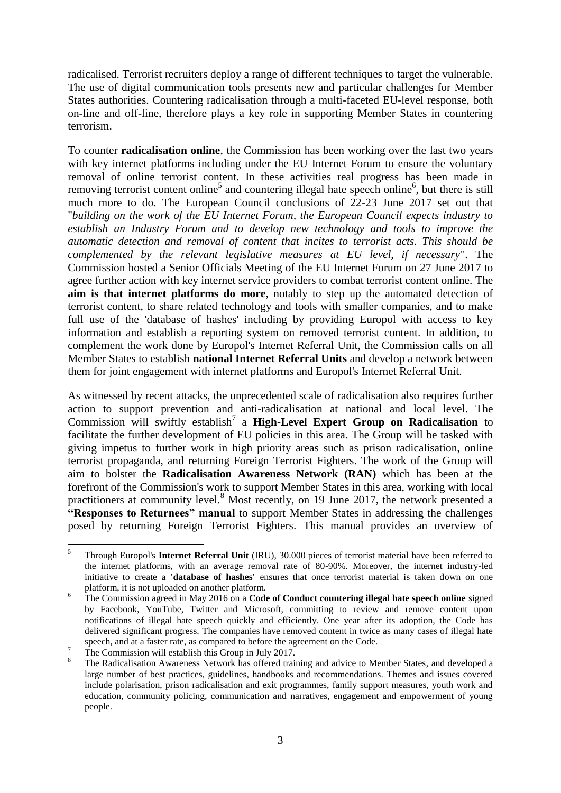radicalised. Terrorist recruiters deploy a range of different techniques to target the vulnerable. The use of digital communication tools presents new and particular challenges for Member States authorities. Countering radicalisation through a multi-faceted EU-level response, both on-line and off-line, therefore plays a key role in supporting Member States in countering terrorism.

To counter **radicalisation online**, the Commission has been working over the last two years with key internet platforms including under the EU Internet Forum to ensure the voluntary removal of online terrorist content. In these activities real progress has been made in removing terrorist content online<sup>5</sup> and countering illegal hate speech online<sup>6</sup>, but there is still much more to do. The European Council conclusions of 22-23 June 2017 set out that "*building on the work of the EU Internet Forum, the European Council expects industry to establish an Industry Forum and to develop new technology and tools to improve the automatic detection and removal of content that incites to terrorist acts. This should be complemented by the relevant legislative measures at EU level, if necessary*". The Commission hosted a Senior Officials Meeting of the EU Internet Forum on 27 June 2017 to agree further action with key internet service providers to combat terrorist content online. The **aim is that internet platforms do more**, notably to step up the automated detection of terrorist content, to share related technology and tools with smaller companies, and to make full use of the 'database of hashes' including by providing Europol with access to key information and establish a reporting system on removed terrorist content. In addition, to complement the work done by Europol's Internet Referral Unit, the Commission calls on all Member States to establish **national Internet Referral Units** and develop a network between them for joint engagement with internet platforms and Europol's Internet Referral Unit.

As witnessed by recent attacks, the unprecedented scale of radicalisation also requires further action to support prevention and anti-radicalisation at national and local level. The Commission will swiftly establish<sup>7</sup> a High-Level Expert Group on Radicalisation to facilitate the further development of EU policies in this area. The Group will be tasked with giving impetus to further work in high priority areas such as prison radicalisation, online terrorist propaganda, and returning Foreign Terrorist Fighters. The work of the Group will aim to bolster the **Radicalisation Awareness Network (RAN)** which has been at the forefront of the Commission's work to support Member States in this area, working with local practitioners at community level.<sup>8</sup> Most recently, on 19 June 2017, the network presented a **"Responses to Returnees" manual** to support Member States in addressing the challenges posed by returning Foreign Terrorist Fighters. This manual provides an overview of

 $\overline{5}$ <sup>5</sup> Through Europol's **Internet Referral Unit** (IRU), 30.000 pieces of terrorist material have been referred to the internet platforms, with an average removal rate of 80-90%. Moreover, the internet industry-led initiative to create a **'database of hashes'** ensures that once terrorist material is taken down on one platform, it is not uploaded on another platform.

<sup>6</sup> The Commission agreed in May 2016 on a **Code of Conduct countering illegal hate speech online** signed by Facebook, YouTube, Twitter and Microsoft, committing to review and remove content upon notifications of illegal hate speech quickly and efficiently. One year after its adoption, the Code has delivered significant progress. The companies have removed content in twice as many cases of illegal hate speech, and at a faster rate, as compared to before the agreement on the Code.

The Commission will establish this Group in July 2017.

<sup>8</sup> The Radicalisation Awareness Network has offered training and advice to Member States, and developed a large number of best practices, guidelines, handbooks and recommendations. Themes and issues covered include polarisation, prison radicalisation and exit programmes, family support measures, youth work and education, community policing, communication and narratives, engagement and empowerment of young people.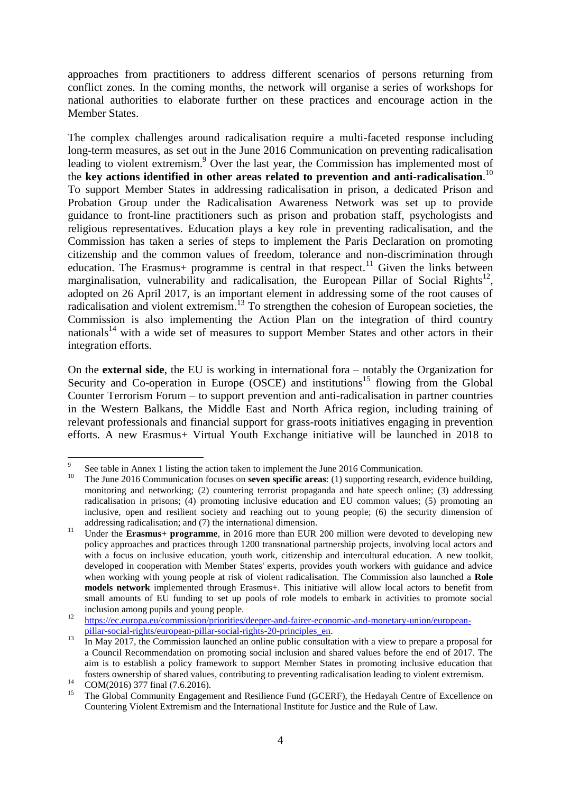approaches from practitioners to address different scenarios of persons returning from conflict zones. In the coming months, the network will organise a series of workshops for national authorities to elaborate further on these practices and encourage action in the Member States.

The complex challenges around radicalisation require a multi-faceted response including long-term measures, as set out in the June 2016 Communication on preventing radicalisation leading to violent extremism.<sup>9</sup> Over the last year, the Commission has implemented most of the **key actions identified in other areas related to prevention and anti-radicalisation**. 10 To support Member States in addressing radicalisation in prison, a dedicated Prison and Probation Group under the Radicalisation Awareness Network was set up to provide guidance to front-line practitioners such as prison and probation staff, psychologists and religious representatives. Education plays a key role in preventing radicalisation, and the Commission has taken a series of steps to implement the Paris Declaration on promoting citizenship and the common values of freedom, tolerance and non-discrimination through education. The Erasmus+ programme is central in that respect.<sup>11</sup> Given the links between marginalisation, vulnerability and radicalisation, the European Pillar of Social Rights<sup>12</sup>, adopted on 26 April 2017, is an important element in addressing some of the root causes of radicalisation and violent extremism.<sup>13</sup> To strengthen the cohesion of European societies, the Commission is also implementing the Action Plan on the integration of third country nationals<sup>14</sup> with a wide set of measures to support Member States and other actors in their integration efforts.

On the **external side**, the EU is working in international fora – notably the Organization for Security and Co-operation in Europe  $(XE)$  and institutions<sup>15</sup> flowing from the Global Counter Terrorism Forum – to support prevention and anti-radicalisation in partner countries in the Western Balkans, the Middle East and North Africa region, including training of relevant professionals and financial support for grass-roots initiatives engaging in prevention efforts. A new Erasmus+ Virtual Youth Exchange initiative will be launched in 2018 to

<u>.</u>

<sup>9</sup> See table in Annex 1 listing the action taken to implement the June 2016 Communication.

<sup>&</sup>lt;sup>10</sup> The June 2016 Communication focuses on **seven specific areas**: (1) supporting research, evidence building, monitoring and networking; (2) countering terrorist propaganda and hate speech online; (3) addressing radicalisation in prisons; (4) promoting inclusive education and EU common values; (5) promoting an inclusive, open and resilient society and reaching out to young people; (6) the security dimension of addressing radicalisation; and (7) the international dimension.

<sup>&</sup>lt;sup>11</sup> Under the **Erasmus+ programme**, in 2016 more than EUR 200 million were devoted to developing new policy approaches and practices through 1200 transnational partnership projects, involving local actors and with a focus on inclusive education, youth work, citizenship and intercultural education. A new toolkit, developed in cooperation with Member States' experts, provides youth workers with guidance and advice when working with young people at risk of violent radicalisation. The Commission also launched a **Role models network** implemented through Erasmus+. This initiative will allow local actors to benefit from small amounts of EU funding to set up pools of role models to embark in activities to promote social inclusion among pupils and young people.

<sup>&</sup>lt;sup>12</sup> [https://ec.europa.eu/commission/priorities/deeper-and-fairer-economic-and-monetary-union/european](https://ec.europa.eu/commission/priorities/deeper-and-fairer-economic-and-monetary-union/european-pillar-social-rights/european-pillar-social-rights-20-principles_en)[pillar-social-rights/european-pillar-social-rights-20-principles\\_en.](https://ec.europa.eu/commission/priorities/deeper-and-fairer-economic-and-monetary-union/european-pillar-social-rights/european-pillar-social-rights-20-principles_en)

<sup>&</sup>lt;sup>13</sup> In May 2017, the Commission launched an online public consultation with a view to prepare a proposal for a Council Recommendation on promoting social inclusion and shared values before the end of 2017. The aim is to establish a policy framework to support Member States in promoting inclusive education that fosters ownership of shared values, contributing to preventing radicalisation leading to violent extremism.

<sup>&</sup>lt;sup>14</sup> COM(2016) 377 final (7.6.2016).

<sup>15</sup> The Global Community Engagement and Resilience Fund (GCERF), the Hedayah Centre of Excellence on Countering Violent Extremism and the International Institute for Justice and the Rule of Law.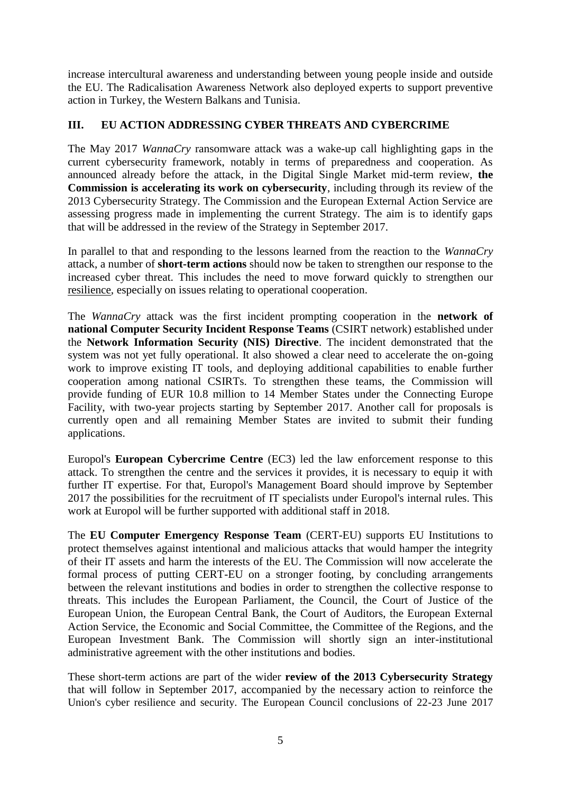increase intercultural awareness and understanding between young people inside and outside the EU. The Radicalisation Awareness Network also deployed experts to support preventive action in Turkey, the Western Balkans and Tunisia.

## **III. EU ACTION ADDRESSING CYBER THREATS AND CYBERCRIME**

The May 2017 *WannaCry* ransomware attack was a wake-up call highlighting gaps in the current cybersecurity framework, notably in terms of preparedness and cooperation. As announced already before the attack, in the Digital Single Market mid-term review, **the Commission is accelerating its work on cybersecurity**, including through its review of the 2013 Cybersecurity Strategy. The Commission and the European External Action Service are assessing progress made in implementing the current Strategy. The aim is to identify gaps that will be addressed in the review of the Strategy in September 2017.

In parallel to that and responding to the lessons learned from the reaction to the *WannaCry* attack, a number of **short-term actions** should now be taken to strengthen our response to the increased cyber threat. This includes the need to move forward quickly to strengthen our resilience, especially on issues relating to operational cooperation.

The *WannaCry* attack was the first incident prompting cooperation in the **network of national Computer Security Incident Response Teams** (CSIRT network) established under the **Network Information Security (NIS) Directive**. The incident demonstrated that the system was not yet fully operational. It also showed a clear need to accelerate the on-going work to improve existing IT tools, and deploying additional capabilities to enable further cooperation among national CSIRTs. To strengthen these teams, the Commission will provide funding of EUR 10.8 million to 14 Member States under the Connecting Europe Facility, with two-year projects starting by September 2017. Another call for proposals is currently open and all remaining Member States are invited to submit their funding applications.

Europol's **European Cybercrime Centre** (EC3) led the law enforcement response to this attack. To strengthen the centre and the services it provides, it is necessary to equip it with further IT expertise. For that, Europol's Management Board should improve by September 2017 the possibilities for the recruitment of IT specialists under Europol's internal rules. This work at Europol will be further supported with additional staff in 2018.

The **EU Computer Emergency Response Team** (CERT-EU) supports EU Institutions to protect themselves against intentional and malicious attacks that would hamper the integrity of their IT assets and harm the interests of the EU. The Commission will now accelerate the formal process of putting CERT-EU on a stronger footing, by concluding arrangements between the relevant institutions and bodies in order to strengthen the collective response to threats. This includes the European Parliament, the Council, the Court of Justice of the European Union, the European Central Bank, the Court of Auditors, the European External Action Service, the Economic and Social Committee, the Committee of the Regions, and the European Investment Bank. The Commission will shortly sign an inter-institutional administrative agreement with the other institutions and bodies.

These short-term actions are part of the wider **review of the 2013 Cybersecurity Strategy** that will follow in September 2017, accompanied by the necessary action to reinforce the Union's cyber resilience and security. The European Council conclusions of 22-23 June 2017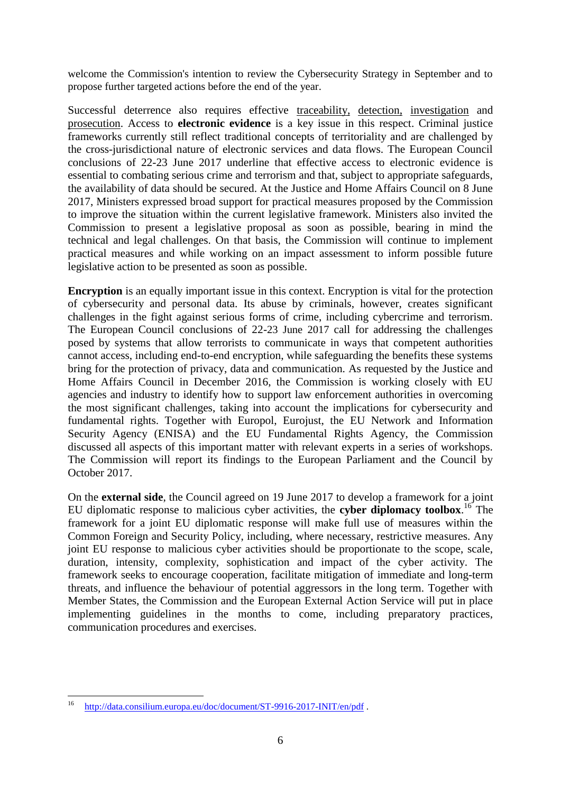welcome the Commission's intention to review the Cybersecurity Strategy in September and to propose further targeted actions before the end of the year.

Successful deterrence also requires effective traceability, detection, investigation and prosecution. Access to **electronic evidence** is a key issue in this respect. Criminal justice frameworks currently still reflect traditional concepts of territoriality and are challenged by the cross-jurisdictional nature of electronic services and data flows. The European Council conclusions of 22-23 June 2017 underline that effective access to electronic evidence is essential to combating serious crime and terrorism and that, subject to appropriate safeguards, the availability of data should be secured. At the Justice and Home Affairs Council on 8 June 2017, Ministers expressed broad support for practical measures proposed by the Commission to improve the situation within the current legislative framework. Ministers also invited the Commission to present a legislative proposal as soon as possible, bearing in mind the technical and legal challenges. On that basis, the Commission will continue to implement practical measures and while working on an impact assessment to inform possible future legislative action to be presented as soon as possible.

**Encryption** is an equally important issue in this context. Encryption is vital for the protection of cybersecurity and personal data. Its abuse by criminals, however, creates significant challenges in the fight against serious forms of crime, including cybercrime and terrorism. The European Council conclusions of 22-23 June 2017 call for addressing the challenges posed by systems that allow terrorists to communicate in ways that competent authorities cannot access, including end-to-end encryption, while safeguarding the benefits these systems bring for the protection of privacy, data and communication. As requested by the Justice and Home Affairs Council in December 2016, the Commission is working closely with EU agencies and industry to identify how to support law enforcement authorities in overcoming the most significant challenges, taking into account the implications for cybersecurity and fundamental rights. Together with Europol, Eurojust, the EU Network and Information Security Agency (ENISA) and the EU Fundamental Rights Agency, the Commission discussed all aspects of this important matter with relevant experts in a series of workshops. The Commission will report its findings to the European Parliament and the Council by October 2017.

On the **external side**, the Council agreed on 19 June 2017 to develop a framework for a joint EU diplomatic response to malicious cyber activities, the **cyber diplomacy toolbox**. <sup>16</sup> The framework for a joint EU diplomatic response will make full use of measures within the Common Foreign and Security Policy, including, where necessary, restrictive measures. Any joint EU response to malicious cyber activities should be proportionate to the scope, scale, duration, intensity, complexity, sophistication and impact of the cyber activity. The framework seeks to encourage cooperation, facilitate mitigation of immediate and long-term threats, and influence the behaviour of potential aggressors in the long term. Together with Member States, the Commission and the European External Action Service will put in place implementing guidelines in the months to come, including preparatory practices, communication procedures and exercises.

<sup>16</sup> <http://data.consilium.europa.eu/doc/document/ST-9916-2017-INIT/en/pdf>.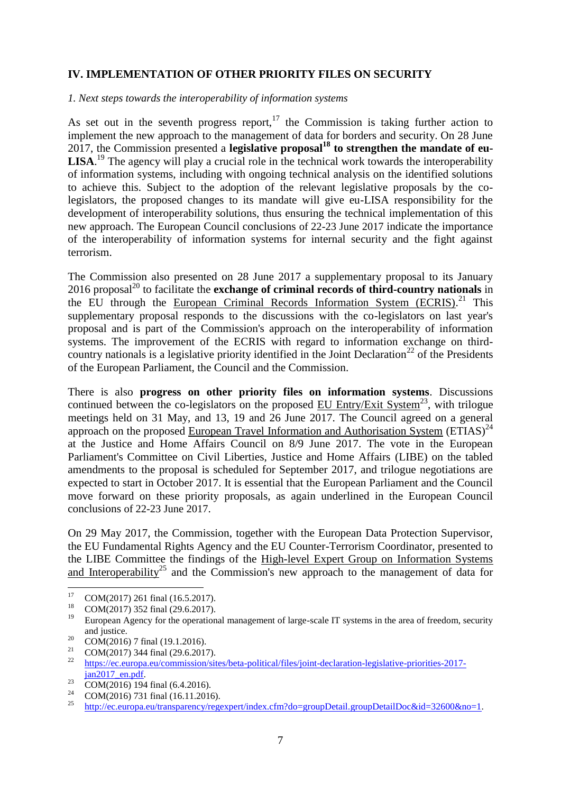### **IV. IMPLEMENTATION OF OTHER PRIORITY FILES ON SECURITY**

### *1. Next steps towards the interoperability of information systems*

As set out in the seventh progress report, $17$  the Commission is taking further action to implement the new approach to the management of data for borders and security. On 28 June 2017, the Commission presented a **legislative proposal<sup>18</sup> to strengthen the mandate of eu-**LISA.<sup>19</sup> The agency will play a crucial role in the technical work towards the interoperability of information systems, including with ongoing technical analysis on the identified solutions to achieve this. Subject to the adoption of the relevant legislative proposals by the colegislators, the proposed changes to its mandate will give eu-LISA responsibility for the development of interoperability solutions, thus ensuring the technical implementation of this new approach. The European Council conclusions of 22-23 June 2017 indicate the importance of the interoperability of information systems for internal security and the fight against terrorism.

The Commission also presented on 28 June 2017 a supplementary proposal to its January 2016 proposal<sup>20</sup> to facilitate the **exchange of criminal records of third-country nationals** in the EU through the European Criminal Records Information System (ECRIS).<sup>21</sup> This supplementary proposal responds to the discussions with the co-legislators on last year's proposal and is part of the Commission's approach on the interoperability of information systems. The improvement of the ECRIS with regard to information exchange on thirdcountry nationals is a legislative priority identified in the Joint Declaration<sup>22</sup> of the Presidents of the European Parliament, the Council and the Commission.

There is also **progress on other priority files on information systems**. Discussions continued between the co-legislators on the proposed EU Entry/Exit System<sup>23</sup>, with trilogue meetings held on 31 May, and 13, 19 and 26 June 2017. The Council agreed on a general approach on the proposed European Travel Information and Authorisation System  $(ETIAS)^{24}$ at the Justice and Home Affairs Council on 8/9 June 2017. The vote in the European Parliament's Committee on Civil Liberties, Justice and Home Affairs (LIBE) on the tabled amendments to the proposal is scheduled for September 2017, and trilogue negotiations are expected to start in October 2017. It is essential that the European Parliament and the Council move forward on these priority proposals, as again underlined in the European Council conclusions of 22-23 June 2017.

On 29 May 2017, the Commission, together with the European Data Protection Supervisor, the EU Fundamental Rights Agency and the EU Counter-Terrorism Coordinator, presented to the LIBE Committee the findings of the High-level Expert Group on Information Systems and Interoperability<sup>25</sup> and the Commission's new approach to the management of data for

- $\frac{23}{24}$  COM(2016) 194 final (6.4.2016).
- $^{24}$  COM(2016) 731 final (16.11.2016).

 $17$ <sup>17</sup> COM(2017) 261 final (16.5.2017).

<sup>&</sup>lt;sup>18</sup> COM(2017) 352 final (29.6.2017).

European Agency for the operational management of large-scale IT systems in the area of freedom, security and justice.

 $\frac{20}{21}$  COM(2016) 7 final (19.1.2016).

<sup>&</sup>lt;sup>21</sup> COM(2017) 344 final (29.6.2017).

<sup>22</sup> [https://ec.europa.eu/commission/sites/beta-political/files/joint-declaration-legislative-priorities-2017](https://ec.europa.eu/commission/sites/beta-political/files/joint-declaration-legislative-priorities-2017-jan2017_en.pdf) jan2017\_en.pdf.

<sup>25</sup> [http://ec.europa.eu/transparency/regexpert/index.cfm?do=groupDetail.groupDetailDoc&id=32600&no=1.](http://ec.europa.eu/transparency/regexpert/index.cfm?do=groupDetail.groupDetailDoc&id=32600&no=1)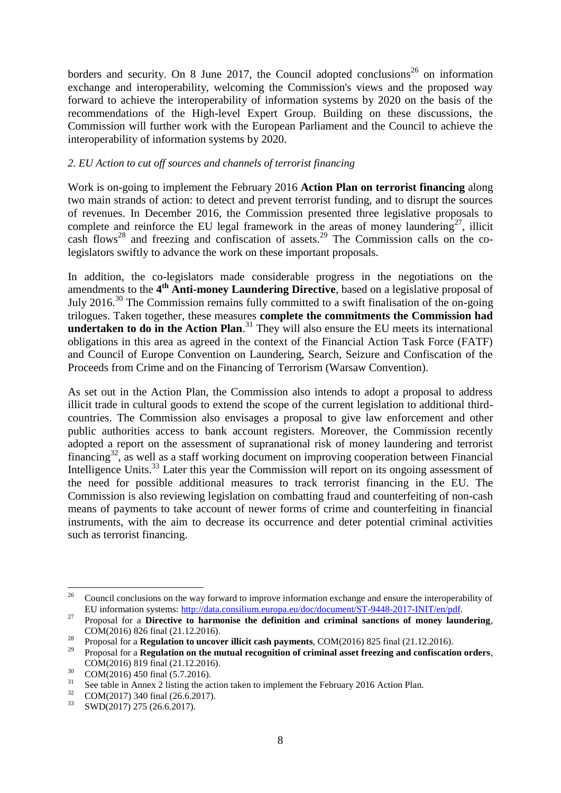borders and security. On 8 June 2017, the Council adopted conclusions<sup>26</sup> on information exchange and interoperability, welcoming the Commission's views and the proposed way forward to achieve the interoperability of information systems by 2020 on the basis of the recommendations of the High-level Expert Group. Building on these discussions, the Commission will further work with the European Parliament and the Council to achieve the interoperability of information systems by 2020.

### *2. EU Action to cut off sources and channels of terrorist financing*

Work is on-going to implement the February 2016 **Action Plan on terrorist financing** along two main strands of action: to detect and prevent terrorist funding, and to disrupt the sources of revenues. In December 2016, the Commission presented three legislative proposals to complete and reinforce the EU legal framework in the areas of money laundering<sup>27</sup>, illicit cash flows<sup>28</sup> and freezing and confiscation of assets.<sup>29</sup> The Commission calls on the colegislators swiftly to advance the work on these important proposals.

In addition, the co-legislators made considerable progress in the negotiations on the amendments to the 4<sup>th</sup> Anti-money Laundering Directive, based on a legislative proposal of July 2016.<sup>30</sup> The Commission remains fully committed to a swift finalisation of the on-going trilogues. Taken together, these measures **complete the commitments the Commission had**  undertaken to do in the Action Plan.<sup>31</sup> They will also ensure the EU meets its international obligations in this area as agreed in the context of the Financial Action Task Force (FATF) and Council of Europe Convention on Laundering, Search, Seizure and Confiscation of the Proceeds from Crime and on the Financing of Terrorism (Warsaw Convention).

As set out in the Action Plan, the Commission also intends to adopt a proposal to address illicit trade in cultural goods to extend the scope of the current legislation to additional thirdcountries. The Commission also envisages a proposal to give law enforcement and other public authorities access to bank account registers. Moreover, the Commission recently adopted a report on the assessment of supranational risk of money laundering and terrorist financing<sup>32</sup>, as well as a staff working document on improving cooperation between Financial Intelligence Units.<sup>33</sup> Later this year the Commission will report on its ongoing assessment of the need for possible additional measures to track terrorist financing in the EU. The Commission is also reviewing legislation on combatting fraud and counterfeiting of non-cash means of payments to take account of newer forms of crime and counterfeiting in financial instruments, with the aim to decrease its occurrence and deter potential criminal activities such as terrorist financing.

 $26\,$ <sup>26</sup> Council conclusions on the way forward to improve information exchange and ensure the interoperability of EU information systems: [http://data.consilium.europa.eu/doc/document/ST-9448-2017-INIT/en/pdf.](http://data.consilium.europa.eu/doc/document/ST-9448-2017-INIT/en/pdf)

<sup>&</sup>lt;sup>27</sup> Proposal for a **Directive to harmonise the definition and criminal sanctions of money laundering,** COM(2016) 826 final (21.12.2016).

<sup>&</sup>lt;sup>28</sup> Proposal for a **Regulation to uncover illicit cash payments**, COM(2016) 825 final (21.12.2016).

<sup>29</sup> Proposal for a **Regulation on the mutual recognition of criminal asset freezing and confiscation orders**, COM(2016) 819 final (21.12.2016).

 $^{30}$  COM(2016) 450 final (5.7.2016).

<sup>&</sup>lt;sup>31</sup> See table in Annex 2 listing the action taken to implement the February 2016 Action Plan.<br><sup>32</sup> COM (2017) 240 5 - 1 (26.6.2017)

 $^{32}$  COM(2017) 340 final (26.6.2017).

<sup>33</sup> SWD(2017) 275 (26.6.2017).